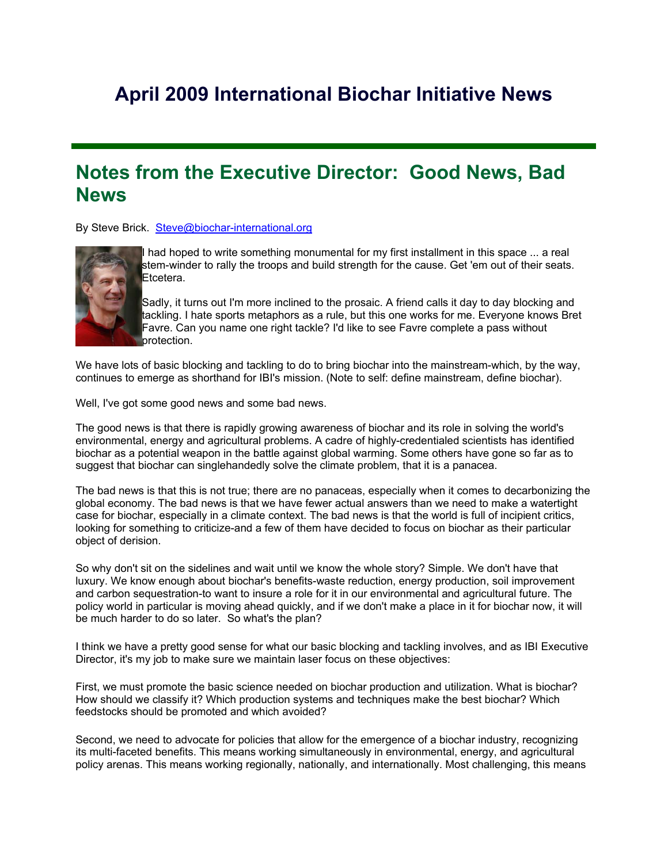# **April 2009 International Biochar Initiative News**

### **Notes from the Executive Director: Good News, Bad News**

By Steve Brick. Steve@biochar-international.org



had hoped to write something monumental for my first installment in this space ... a real stem-winder to rally the troops and build strength for the cause. Get 'em out of their seats. Etcetera.

 $\overline{\phantom{a}}$ Sadly, it turns out I'm more inclined to the prosaic. A friend calls it day to day blocking and tackling. I hate sports metaphors as a rule, but this one works for me. Everyone knows Bret Favre. Can you name one right tackle? I'd like to see Favre complete a pass without protection.

We have lots of basic blocking and tackling to do to bring biochar into the mainstream-which, by the way, continues to emerge as shorthand for IBI's mission. (Note to self: define mainstream, define biochar).

Well, I've got some good news and some bad news.

The good news is that there is rapidly growing awareness of biochar and its role in solving the world's environmental, energy and agricultural problems. A cadre of highly-credentialed scientists has identified biochar as a potential weapon in the battle against global warming. Some others have gone so far as to suggest that biochar can singlehandedly solve the climate problem, that it is a panacea.

The bad news is that this is not true; there are no panaceas, especially when it comes to decarbonizing the global economy. The bad news is that we have fewer actual answers than we need to make a watertight case for biochar, especially in a climate context. The bad news is that the world is full of incipient critics, looking for something to criticize-and a few of them have decided to focus on biochar as their particular object of derision.

So why don't sit on the sidelines and wait until we know the whole story? Simple. We don't have that luxury. We know enough about biochar's benefits-waste reduction, energy production, soil improvement and carbon sequestration-to want to insure a role for it in our environmental and agricultural future. The policy world in particular is moving ahead quickly, and if we don't make a place in it for biochar now, it will be much harder to do so later. So what's the plan?

I think we have a pretty good sense for what our basic blocking and tackling involves, and as IBI Executive Director, it's my job to make sure we maintain laser focus on these objectives:

First, we must promote the basic science needed on biochar production and utilization. What is biochar? How should we classify it? Which production systems and techniques make the best biochar? Which feedstocks should be promoted and which avoided?

Second, we need to advocate for policies that allow for the emergence of a biochar industry, recognizing its multi-faceted benefits. This means working simultaneously in environmental, energy, and agricultural policy arenas. This means working regionally, nationally, and internationally. Most challenging, this means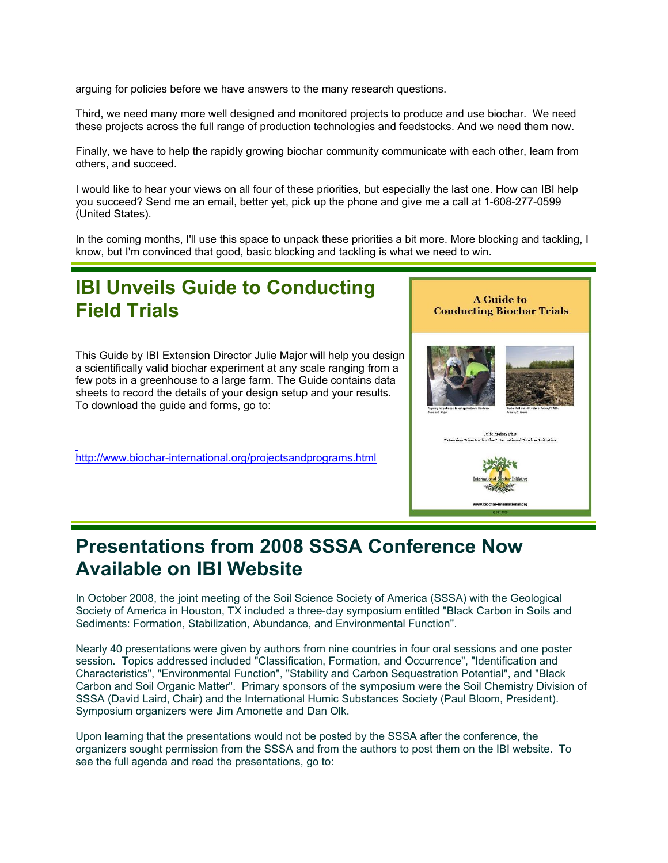arguing for policies before we have answers to the many research questions.

Third, we need many more well designed and monitored projects to produce and use biochar. We need these projects across the full range of production technologies and feedstocks. And we need them now.

Finally, we have to help the rapidly growing biochar community communicate with each other, learn from others, and succeed.

I would like to hear your views on all four of these priorities, but especially the last one. How can IBI help you succeed? Send me an email, better yet, pick up the phone and give me a call at 1-608-277-0599 (United States).

In the coming months, I'll use this space to unpack these priorities a bit more. More blocking and tackling, I know, but I'm convinced that good, basic blocking and tackling is what we need to win.

## **IBI Unveils Guide to Conducting Field Trials**

This Guide by IBI Extension Director Julie Major will help you design a scientifically valid biochar experiment at any scale ranging from a few pots in a greenhouse to a large farm. The Guide contains data sheets to record the details of your design setup and your results. To download the guide and forms, go to:

http://www.biochar-international.org/projectsandprograms.html



## **Presentations from 2008 SSSA Conference Now Available on IBI Website**

In October 2008, the joint meeting of the Soil Science Society of America (SSSA) with the Geological Society of America in Houston, TX included a three-day symposium entitled "Black Carbon in Soils and Sediments: Formation, Stabilization, Abundance, and Environmental Function".

Nearly 40 presentations were given by authors from nine countries in four oral sessions and one poster session. Topics addressed included "Classification, Formation, and Occurrence", "Identification and Characteristics", "Environmental Function", "Stability and Carbon Sequestration Potential", and "Black Carbon and Soil Organic Matter". Primary sponsors of the symposium were the Soil Chemistry Division of SSSA (David Laird, Chair) and the International Humic Substances Society (Paul Bloom, President). Symposium organizers were Jim Amonette and Dan Olk.

Upon learning that the presentations would not be posted by the SSSA after the conference, the organizers sought permission from the SSSA and from the authors to post them on the IBI website. To see the full agenda and read the presentations, go to: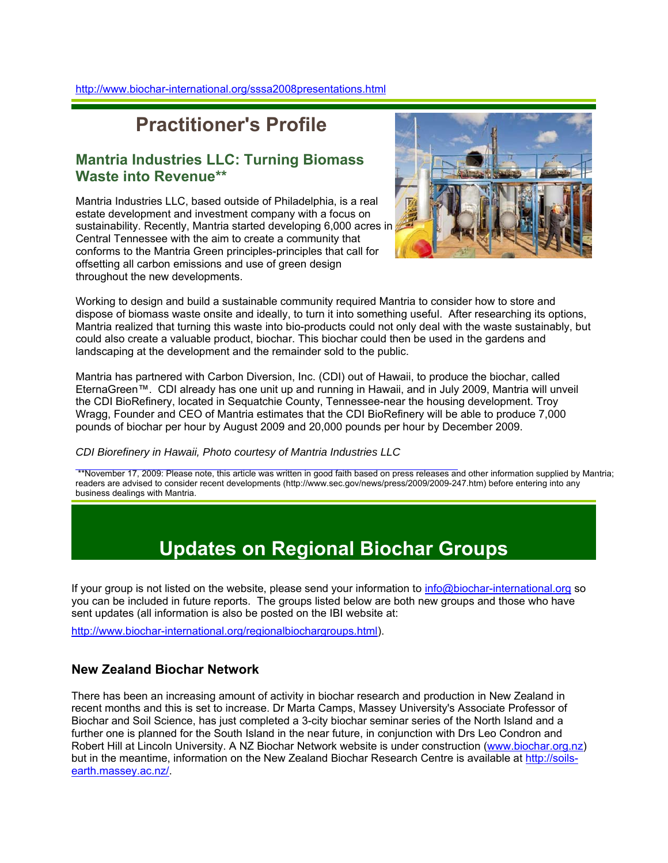## **Practitioner's Profile**

### **Mantria Industries LLC: Turning Biomass Waste into Revenue\*\***

Mantria Industries LLC, based outside of Philadelphia, is a real estate development and investment company with a focus on sustainability. Recently, Mantria started developing 6,000 acres in Central Tennessee with the aim to create a community that conforms to the Mantria Green principles-principles that call for offsetting all carbon emissions and use of green design throughout the new developments.



Working to design and build a sustainable community required Mantria to consider how to store and dispose of biomass waste onsite and ideally, to turn it into something useful. After researching its options, Mantria realized that turning this waste into bio-products could not only deal with the waste sustainably, but could also create a valuable product, biochar. This biochar could then be used in the gardens and landscaping at the development and the remainder sold to the public.

Mantria has partnered with Carbon Diversion, Inc. (CDI) out of Hawaii, to produce the biochar, called EternaGreen™. CDI already has one unit up and running in Hawaii, and in July 2009, Mantria will unveil the CDI BioRefinery, located in Sequatchie County, Tennessee-near the housing development. Troy Wragg, Founder and CEO of Mantria estimates that the CDI BioRefinery will be able to produce 7,000 pounds of biochar per hour by August 2009 and 20,000 pounds per hour by December 2009.

*CDI Biorefinery in Hawaii, Photo courtesy of Mantria Industries LLC*

 \*\*November 17, 2009: Please note, this article was written in good faith based on press releases and other information supplied by Mantria; readers are advised to consider recent developments (http://www.sec.gov/news/press/2009/2009-247.htm) before entering into any business dealings with Mantria.

# **Updates on Regional Biochar Groups**

If your group is not listed on the website, please send your information to info@biochar-international.org so you can be included in future reports. The groups listed below are both new groups and those who have sent updates (all information is also be posted on the IBI website at:

http://www.biochar-international.org/regionalbiochargroups.html).

### **New Zealand Biochar Network**

There has been an increasing amount of activity in biochar research and production in New Zealand in recent months and this is set to increase. Dr Marta Camps, Massey University's Associate Professor of Biochar and Soil Science, has just completed a 3-city biochar seminar series of the North Island and a further one is planned for the South Island in the near future, in conjunction with Drs Leo Condron and Robert Hill at Lincoln University. A NZ Biochar Network website is under construction (www.biochar.org.nz) but in the meantime, information on the New Zealand Biochar Research Centre is available at http://soilsearth.massey.ac.nz/.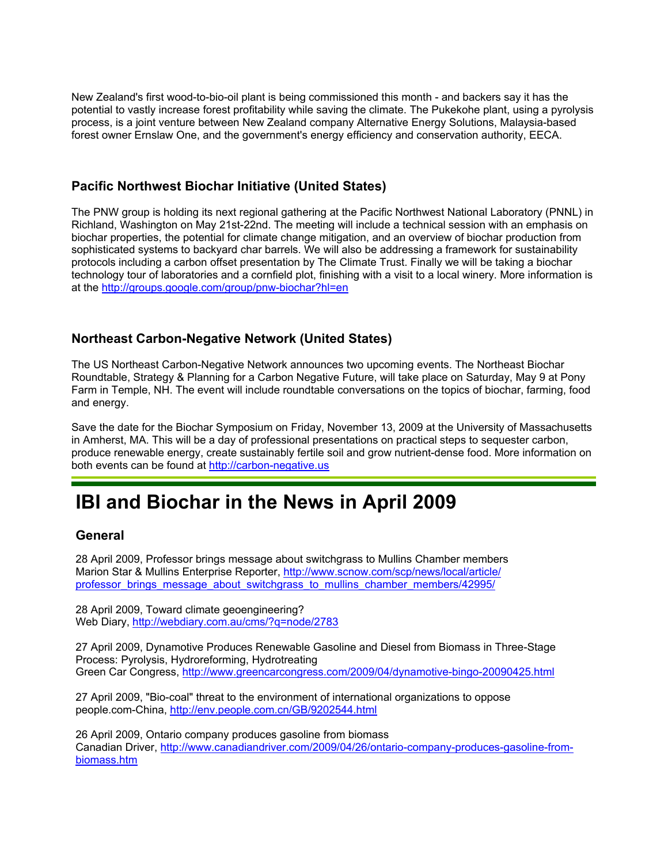New Zealand's first wood-to-bio-oil plant is being commissioned this month - and backers say it has the potential to vastly increase forest profitability while saving the climate. The Pukekohe plant, using a pyrolysis process, is a joint venture between New Zealand company Alternative Energy Solutions, Malaysia-based forest owner Ernslaw One, and the government's energy efficiency and conservation authority, EECA.

#### **Pacific Northwest Biochar Initiative (United States)**

The PNW group is holding its next regional gathering at the Pacific Northwest National Laboratory (PNNL) in Richland, Washington on May 21st-22nd. The meeting will include a technical session with an emphasis on biochar properties, the potential for climate change mitigation, and an overview of biochar production from sophisticated systems to backyard char barrels. We will also be addressing a framework for sustainability protocols including a carbon offset presentation by The Climate Trust. Finally we will be taking a biochar technology tour of laboratories and a cornfield plot, finishing with a visit to a local winery. More information is at the http://groups.google.com/group/pnw-biochar?hl=en

#### **Northeast Carbon-Negative Network (United States)**

The US Northeast Carbon-Negative Network announces two upcoming events. The Northeast Biochar Roundtable, Strategy & Planning for a Carbon Negative Future, will take place on Saturday, May 9 at Pony Farm in Temple, NH. The event will include roundtable conversations on the topics of biochar, farming, food and energy.

Save the date for the Biochar Symposium on Friday, November 13, 2009 at the University of Massachusetts in Amherst, MA. This will be a day of professional presentations on practical steps to sequester carbon, produce renewable energy, create sustainably fertile soil and grow nutrient-dense food. More information on both events can be found at http://carbon-negative.us

## **IBI and Biochar in the News in April 2009**

#### **General**

28 April 2009, Professor brings message about switchgrass to Mullins Chamber members Marion Star & Mullins Enterprise Reporter, http://www.scnow.com/scp/news/local/article/ professor\_brings\_message\_about\_switchgrass\_to\_mullins\_chamber\_members/42995/

28 April 2009, Toward climate geoengineering? Web Diary, http://webdiary.com.au/cms/?q=node/2783

27 April 2009, Dynamotive Produces Renewable Gasoline and Diesel from Biomass in Three-Stage Process: Pyrolysis, Hydroreforming, Hydrotreating Green Car Congress, http://www.greencarcongress.com/2009/04/dynamotive-bingo-20090425.html

27 April 2009, "Bio-coal" threat to the environment of international organizations to oppose people.com-China, http://env.people.com.cn/GB/9202544.html

26 April 2009, Ontario company produces gasoline from biomass Canadian Driver, http://www.canadiandriver.com/2009/04/26/ontario-company-produces-gasoline-frombiomass.htm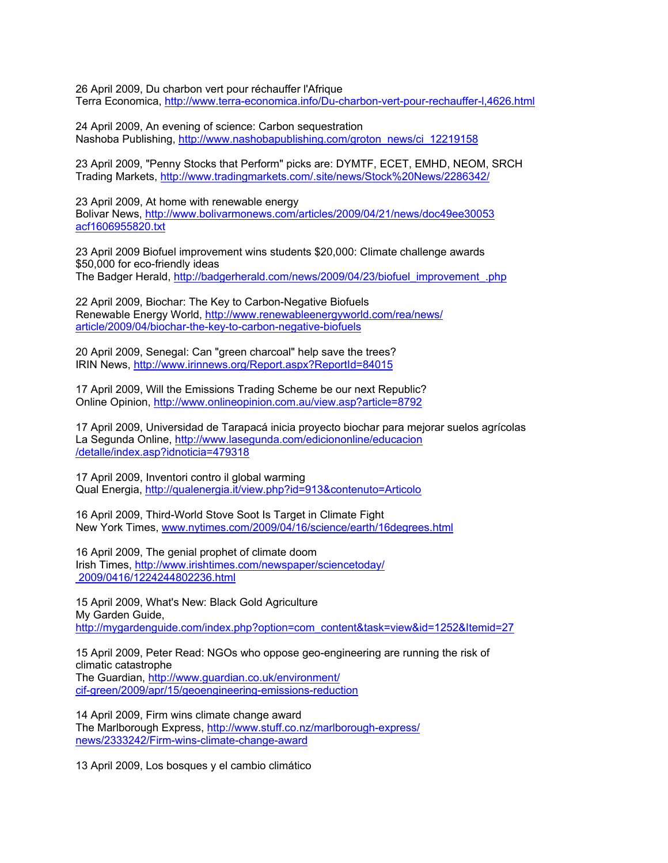26 April 2009, Du charbon vert pour réchauffer l'Afrique Terra Economica, http://www.terra-economica.info/Du-charbon-vert-pour-rechauffer-l,4626.html

24 April 2009, An evening of science: Carbon sequestration Nashoba Publishing, http://www.nashobapublishing.com/groton\_news/ci\_12219158

23 April 2009, "Penny Stocks that Perform" picks are: DYMTF, ECET, EMHD, NEOM, SRCH Trading Markets, http://www.tradingmarkets.com/.site/news/Stock%20News/2286342/

23 April 2009, At home with renewable energy Bolivar News, http://www.bolivarmonews.com/articles/2009/04/21/news/doc49ee30053 acf1606955820.txt

23 April 2009 Biofuel improvement wins students \$20,000: Climate challenge awards \$50,000 for eco-friendly ideas The Badger Herald, http://badgerherald.com/news/2009/04/23/biofuel\_improvement\_.php

22 April 2009, Biochar: The Key to Carbon-Negative Biofuels Renewable Energy World, http://www.renewableenergyworld.com/rea/news/ article/2009/04/biochar-the-key-to-carbon-negative-biofuels

20 April 2009, Senegal: Can "green charcoal" help save the trees? IRIN News, http://www.irinnews.org/Report.aspx?ReportId=84015

17 April 2009, Will the Emissions Trading Scheme be our next Republic? Online Opinion, http://www.onlineopinion.com.au/view.asp?article=8792

17 April 2009, Universidad de Tarapacá inicia proyecto biochar para mejorar suelos agrícolas La Segunda Online, http://www.lasegunda.com/ediciononline/educacion /detalle/index.asp?idnoticia=479318

17 April 2009, Inventori contro il global warming Qual Energia, http://qualenergia.it/view.php?id=913&contenuto=Articolo

16 April 2009, Third-World Stove Soot Is Target in Climate Fight New York Times, www.nytimes.com/2009/04/16/science/earth/16degrees.html

16 April 2009, The genial prophet of climate doom Irish Times, http://www.irishtimes.com/newspaper/sciencetoday/ 2009/0416/1224244802236.html

15 April 2009, What's New: Black Gold Agriculture My Garden Guide, http://mygardenguide.com/index.php?option=com\_content&task=view&id=1252&Itemid=27

15 April 2009, Peter Read: NGOs who oppose geo-engineering are running the risk of climatic catastrophe The Guardian, http://www.guardian.co.uk/environment/ cif-green/2009/apr/15/geoengineering-emissions-reduction

14 April 2009, Firm wins climate change award The Marlborough Express, http://www.stuff.co.nz/marlborough-express/ news/2333242/Firm-wins-climate-change-award

13 April 2009, Los bosques y el cambio climático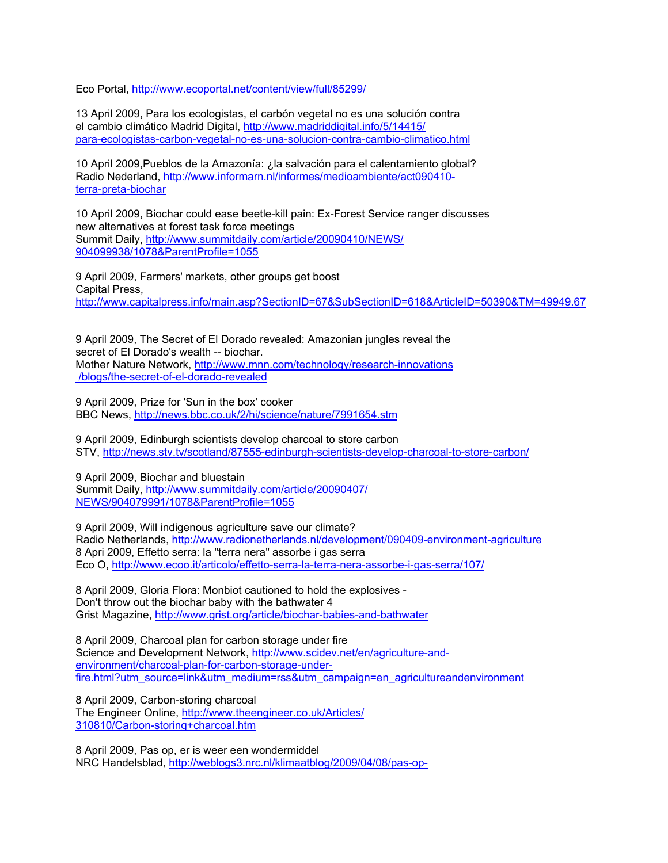Eco Portal, http://www.ecoportal.net/content/view/full/85299/

13 April 2009, Para los ecologistas, el carbón vegetal no es una solución contra el cambio climático Madrid Digital, http://www.madriddigital.info/5/14415/ para-ecologistas-carbon-vegetal-no-es-una-solucion-contra-cambio-climatico.html

10 April 2009,Pueblos de la Amazonía: ¿la salvación para el calentamiento global? Radio Nederland, http://www.informarn.nl/informes/medioambiente/act090410 terra-preta-biochar

10 April 2009, Biochar could ease beetle-kill pain: Ex-Forest Service ranger discusses new alternatives at forest task force meetings Summit Daily, http://www.summitdaily.com/article/20090410/NEWS/ 904099938/1078&ParentProfile=1055

9 April 2009, Farmers' markets, other groups get boost Capital Press, http://www.capitalpress.info/main.asp?SectionID=67&SubSectionID=618&ArticleID=50390&TM=49949.67

9 April 2009, The Secret of El Dorado revealed: Amazonian jungles reveal the secret of El Dorado's wealth -- biochar. Mother Nature Network, http://www.mnn.com/technology/research-innovations /blogs/the-secret-of-el-dorado-revealed

9 April 2009, Prize for 'Sun in the box' cooker BBC News, http://news.bbc.co.uk/2/hi/science/nature/7991654.stm

9 April 2009, Edinburgh scientists develop charcoal to store carbon STV, http://news.stv.tv/scotland/87555-edinburgh-scientists-develop-charcoal-to-store-carbon/

9 April 2009, Biochar and bluestain Summit Daily, http://www.summitdaily.com/article/20090407/ NEWS/904079991/1078&ParentProfile=1055

9 April 2009, Will indigenous agriculture save our climate? Radio Netherlands, http://www.radionetherlands.nl/development/090409-environment-agriculture 8 Apri 2009, Effetto serra: la "terra nera" assorbe i gas serra Eco O, http://www.ecoo.it/articolo/effetto-serra-la-terra-nera-assorbe-i-gas-serra/107/

8 April 2009, Gloria Flora: Monbiot cautioned to hold the explosives - Don't throw out the biochar baby with the bathwater 4 Grist Magazine, http://www.grist.org/article/biochar-babies-and-bathwater

8 April 2009, Charcoal plan for carbon storage under fire Science and Development Network, http://www.scidev.net/en/agriculture-andenvironment/charcoal-plan-for-carbon-storage-underfire.html?utm\_source=link&utm\_medium=rss&utm\_campaign=en\_agricultureandenvironment

8 April 2009, Carbon-storing charcoal The Engineer Online, http://www.theengineer.co.uk/Articles/ 310810/Carbon-storing+charcoal.htm

8 April 2009, Pas op, er is weer een wondermiddel NRC Handelsblad, http://weblogs3.nrc.nl/klimaatblog/2009/04/08/pas-op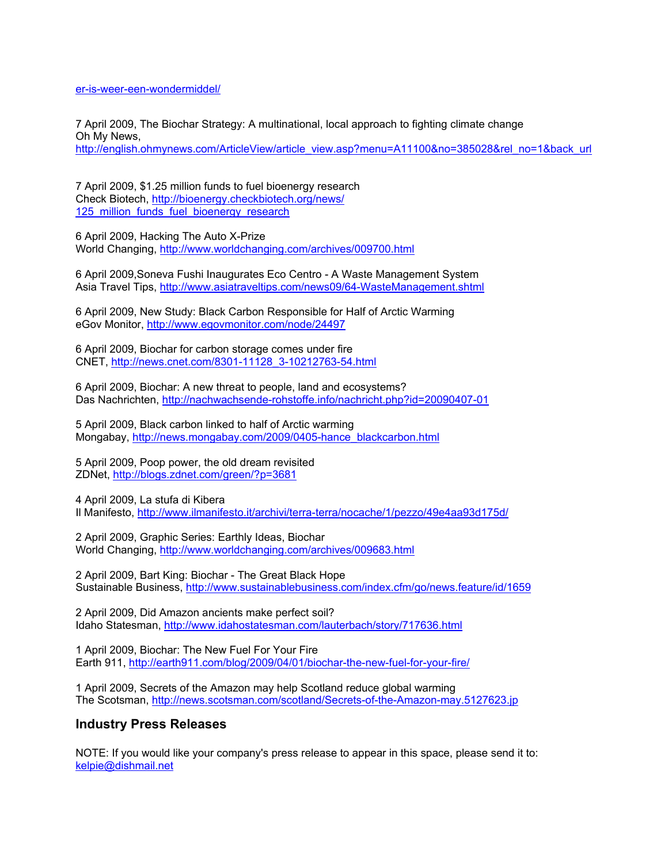er-is-weer-een-wondermiddel/

7 April 2009, The Biochar Strategy: A multinational, local approach to fighting climate change Oh My News, http://english.ohmynews.com/ArticleView/article\_view.asp?menu=A11100&no=385028&rel\_no=1&back\_url

7 April 2009, \$1.25 million funds to fuel bioenergy research Check Biotech, http://bioenergy.checkbiotech.org/news/ 125 million funds fuel bioenergy research

6 April 2009, Hacking The Auto X-Prize World Changing, http://www.worldchanging.com/archives/009700.html

6 April 2009,Soneva Fushi Inaugurates Eco Centro - A Waste Management System Asia Travel Tips, http://www.asiatraveltips.com/news09/64-WasteManagement.shtml

6 April 2009, New Study: Black Carbon Responsible for Half of Arctic Warming eGov Monitor, http://www.egovmonitor.com/node/24497

6 April 2009, Biochar for carbon storage comes under fire CNET, http://news.cnet.com/8301-11128\_3-10212763-54.html

6 April 2009, Biochar: A new threat to people, land and ecosystems? Das Nachrichten, http://nachwachsende-rohstoffe.info/nachricht.php?id=20090407-01

5 April 2009, Black carbon linked to half of Arctic warming Mongabay, http://news.mongabay.com/2009/0405-hance\_blackcarbon.html

5 April 2009, Poop power, the old dream revisited ZDNet, http://blogs.zdnet.com/green/?p=3681

4 April 2009, La stufa di Kibera Il Manifesto, http://www.ilmanifesto.it/archivi/terra-terra/nocache/1/pezzo/49e4aa93d175d/

2 April 2009, Graphic Series: Earthly Ideas, Biochar World Changing, http://www.worldchanging.com/archives/009683.html

2 April 2009, Bart King: Biochar - The Great Black Hope Sustainable Business, http://www.sustainablebusiness.com/index.cfm/go/news.feature/id/1659

2 April 2009, Did Amazon ancients make perfect soil? Idaho Statesman, http://www.idahostatesman.com/lauterbach/story/717636.html

1 April 2009, Biochar: The New Fuel For Your Fire Earth 911, http://earth911.com/blog/2009/04/01/biochar-the-new-fuel-for-your-fire/

1 April 2009, Secrets of the Amazon may help Scotland reduce global warming The Scotsman, http://news.scotsman.com/scotland/Secrets-of-the-Amazon-may.5127623.jp

#### **Industry Press Releases**

NOTE: If you would like your company's press release to appear in this space, please send it to: kelpie@dishmail.net